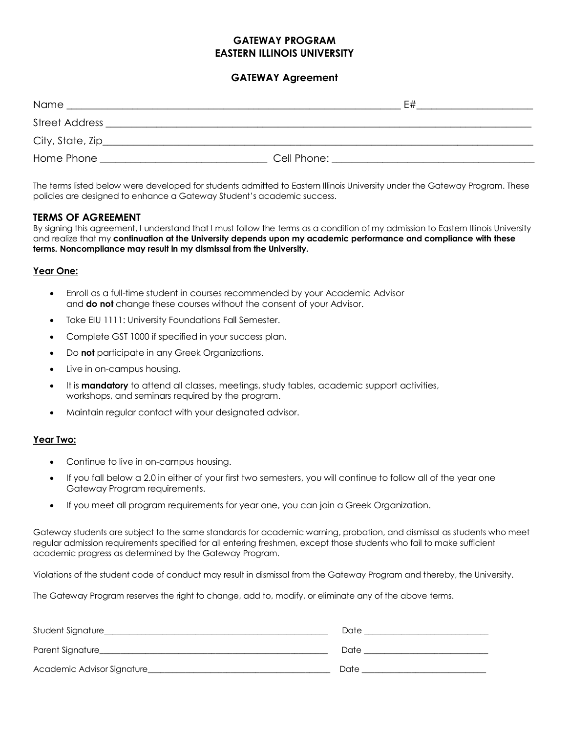# **GATEWAY PROGRAM EASTERN ILLINOIS UNIVERSITY**

### **GATEWAY Agreement**

| Name                  |                                                | F# |
|-----------------------|------------------------------------------------|----|
| <b>Street Address</b> |                                                |    |
| City, State, Zip_____ |                                                |    |
| Home Phone            | Cell Phone: __________________________________ |    |

The terms listed below were developed for students admitted to Eastern Illinois University under the Gateway Program. These policies are designed to enhance a Gateway Student's academic success.

### **TERMS OF AGREEMENT**

By signing this agreement, I understand that I must follow the terms as a condition of my admission to Eastern Illinois University and realize that my **continuation at the University depends upon my academic performance and compliance with these terms. Noncompliance may result in my dismissal from the University.**

#### **Year One:**

- Enroll as a full-time student in courses recommended by your Academic Advisor and **do not** change these courses without the consent of your Advisor.
- Take EIU 1111: University Foundations Fall Semester.
- Complete GST 1000 if specified in your success plan.
- Do **not** participate in any Greek Organizations.
- Live in on-campus housing.
- It is **mandatory** to attend all classes, meetings, study tables, academic support activities, workshops, and seminars required by the program.
- Maintain regular contact with your designated advisor.

#### **Year Two:**

- Continue to live in on-campus housing.
- If you fall below a 2.0 in either of your first two semesters, you will continue to follow all of the year one Gateway Program requirements.
- If you meet all program requirements for year one, you can join a Greek Organization.

Gateway students are subject to the same standards for academic warning, probation, and dismissal as students who meet regular admission requirements specified for all entering freshmen, except those students who fail to make sufficient academic progress as determined by the Gateway Program.

Violations of the student code of conduct may result in dismissal from the Gateway Program and thereby, the University.

The Gateway Program reserves the right to change, add to, modify, or eliminate any of the above terms.

| Student Signature          | Date |
|----------------------------|------|
| Parent Signature           | Date |
| Academic Advisor Signature | Date |